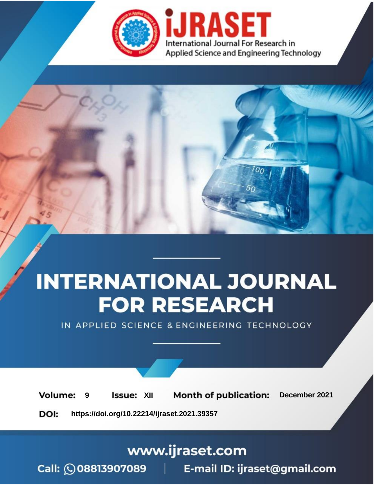

# **INTERNATIONAL JOURNAL FOR RESEARCH**

IN APPLIED SCIENCE & ENGINEERING TECHNOLOGY

**Month of publication: Volume: Issue: XII** December 2021 9 DOI: https://doi.org/10.22214/ijraset.2021.39357

www.ijraset.com

Call: 008813907089 | E-mail ID: ijraset@gmail.com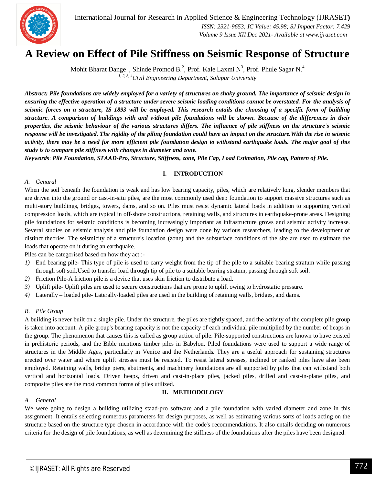

International Journal for Research in Applied Science & Engineering Technology (IJRASET**)**  *ISSN: 2321-9653; IC Value: 45.98; SJ Impact Factor: 7.429 Volume 9 Issue XII Dec 2021- Available at www.ijraset.com*

### **A Review on Effect of Pile Stiffness on Seismic Response of Structure**

Mohit Bharat Dange<sup>1</sup>, Shinde Promod B.<sup>2</sup>, Prof. Kale Laxmi N<sup>3</sup>, Prof. Phule Sagar N.<sup>4</sup> *1, 2, 3, 4Civil Engineering Department, Solapur University*

*Abstract: Pile foundations are widely employed for a variety of structures on shaky ground. The importance of seismic design in ensuring the effective operation of a structure under severe seismic loading conditions cannot be overstated. For the analysis of seismic forces on a structure, IS 1893 will be employed. This research entails the choosing of a specific form of building structure. A comparison of buildings with and without pile foundations will be shown. Because of the differences in their properties, the seismic behaviour of the various structures differs. The influence of pile stiffness on the structure's seismic response will be investigated. The rigidity of the piling foundation could have an impact on the structure.With the rise in seismic activity, there may be a need for more efficient pile foundation design to withstand earthquake loads. The major goal of this study is to compare pile stiffness with changes in diameter and zone.*

*Keywords*: *Pile Foundation, STAAD-Pro, Structure, Stiffness, zone, Pile Cap, Load Estimation, Pile cap, Pattern of Pile.*

#### **I. INTRODUCTION**

#### *A. Genaral*

When the soil beneath the foundation is weak and has low bearing capacity, piles, which are relatively long, slender members that are driven into the ground or cast-in-situ piles, are the most commonly used deep foundation to support massive structures such as multi-story buildings, bridges, towers, dams, and so on. Piles must resist dynamic lateral loads in addition to supporting vertical compression loads, which are typical in off-shore constructions, retaining walls, and structures in earthquake-prone areas. Designing pile foundations for seismic conditions is becoming increasingly important as infrastructure grows and seismic activity increase. Several studies on seismic analysis and pile foundation design were done by various researchers, leading to the development of distinct theories. The seismicity of a structure's location (zone) and the subsurface conditions of the site are used to estimate the loads that operate on it during an earthquake.

Piles can be categorised based on how they act.:-

- *1)* End bearing pile- This type of pile is used to carry weight from the tip of the pile to a suitable bearing stratum while passing through soft soil.Used to transfer load through tip of pile to a suitable bearing stratum, passing through soft soil.
- *2)* Friction Pile-A friction pile is a device that uses skin friction to distribute a load.
- *3)* Uplift pile- Uplift piles are used to secure constructions that are prone to uplift owing to hydrostatic pressure.
- *4)* Laterally loaded pile- Laterally-loaded piles are used in the building of retaining walls, bridges, and dams.

#### *B. Pile Group*

A building is never built on a single pile. Under the structure, the piles are tightly spaced, and the activity of the complete pile group is taken into account. A pile group's bearing capacity is not the capacity of each individual pile multiplied by the number of heaps in the group. The phenomenon that causes this is called as group action of pile. Pile-supported constructions are known to have existed in prehistoric periods, and the Bible mentions timber piles in Babylon. Piled foundations were used to support a wide range of structures in the Middle Ages, particularly in Venice and the Netherlands. They are a useful approach for sustaining structures erected over water and where uplift stresses must be resisted. To resist lateral stresses, inclined or ranked piles have also been employed. Retaining walls, bridge piers, abutments, and machinery foundations are all supported by piles that can withstand both vertical and horizontal loads. Driven heaps, driven and cast-in-place piles, jacked piles, drilled and cast-in-plane piles, and composite piles are the most common forms of piles utilized.

#### **II. METHODOLOGY**

#### *A. General*

We were going to design a building utilizing staad-pro software and a pile foundation with varied diameter and zone in this assignment. It entails selecting numerous parameters for design purposes, as well as estimating various sorts of loads acting on the structure based on the structure type chosen in accordance with the code's recommendations. It also entails deciding on numerous criteria for the design of pile foundations, as well as determining the stiffness of the foundations after the piles have been designed.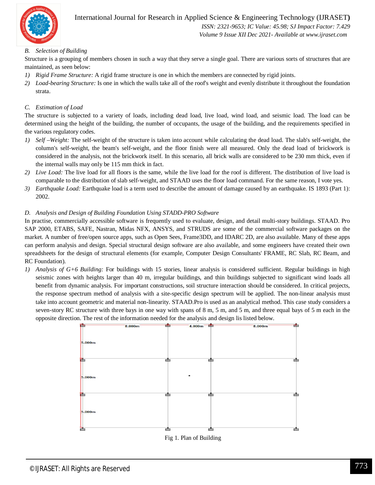

 *ISSN: 2321-9653; IC Value: 45.98; SJ Impact Factor: 7.429 Volume 9 Issue XII Dec 2021- Available at www.ijraset.com*

#### *B. Selection of Building*

Structure is a grouping of members chosen in such a way that they serve a single goal. There are various sorts of structures that are maintained, as seen below:

- *1) Rigid Frame Structure:* A rigid frame structure is one in which the members are connected by rigid joints.
- *2) Load-bearing Structure:* Is one in which the walls take all of the roof's weight and evenly distribute it throughout the foundation strata.

#### *C. Estimation of Load*

The structure is subjected to a variety of loads, including dead load, live load, wind load, and seismic load. The load can be determined using the height of the building, the number of occupants, the usage of the building, and the requirements specified in the various regulatory codes.

- *1) Self –Weight:* The self-weight of the structure is taken into account while calculating the dead load. The slab's self-weight, the column's self-weight, the beam's self-weight, and the floor finish were all measured. Only the dead load of brickwork is considered in the analysis, not the brickwork itself. In this scenario, all brick walls are considered to be 230 mm thick, even if the internal walls may only be 115 mm thick in fact.
- *2) Live Load:* The live load for all floors is the same, while the live load for the roof is different. The distribution of live load is comparable to the distribution of slab self-weight, and STAAD uses the floor load command. For the same reason, I vote yes.
- *3) Earthquake Load:* Earthquake load is a term used to describe the amount of damage caused by an earthquake. IS 1893 (Part 1): 2002.

#### *D. Analysis and Design of Building Foundation Using STADD-PRO Software*

In practise, commercially accessible software is frequently used to evaluate, design, and detail multi-story buildings. STAAD. Pro SAP 2000, ETABS, SAFE, Nastran, Midas NFX, ANSYS, and STRUDS are some of the commercial software packages on the market. A number of free/open source apps, such as Open Sees, Frame3DD, and IDARC 2D, are also available. Many of these apps can perform analysis and design. Special structural design software are also available, and some engineers have created their own spreadsheets for the design of structural elements (for example, Computer Design Consultants' FRAME, RC Slab, RC Beam, and RC Foundation).

*1) Analysis of G+6 Building:* For buildings with 15 stories, linear analysis is considered sufficient. Regular buildings in high seismic zones with heights larger than 40 m, irregular buildings, and thin buildings subjected to significant wind loads all benefit from dynamic analysis. For important constructions, soil structure interaction should be considered. In critical projects, the response spectrum method of analysis with a site-specific design spectrum will be applied. The non-linear analysis must take into account geometric and material non-linearity. STAAD.Pro is used as an analytical method. This case study considers a seven-story RC structure with three bays in one way with spans of 8 m, 5 m, and 5 m, and three equal bays of 5 m each in the opposite direction. The rest of the information needed for the analysis and design lis listed below.



Fig 1. Plan of Building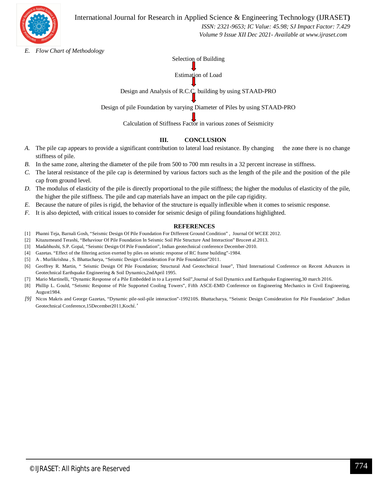

International Journal for Research in Applied Science & Engineering Technology (IJRASET**)**

 *ISSN: 2321-9653; IC Value: 45.98; SJ Impact Factor: 7.429 Volume 9 Issue XII Dec 2021- Available at www.ijraset.com*

*E. Flow Chart of Methodology*

Selection of Building

Estimation of Load

Design and Analysis of R.C.C. building by using STAAD-PRO

Design of pile Foundation by varying Diameter of Piles by using STAAD-PRO

Calculation of Stiffness Factor in various zones of Seismicity

#### **III. CONCLUSION**

- *A.* The pile cap appears to provide a significant contribution to lateral load resistance. By changing the zone there is no change stiffness of pile.
- *B.* In the same zone, altering the diameter of the pile from 500 to 700 mm results in a 32 percent increase in stiffness.
- *C.* The lateral resistance of the pile cap is determined by various factors such as the length of the pile and the position of the pile cap from ground level.
- *D.* The modulus of elasticity of the pile is directly proportional to the pile stiffness; the higher the modulus of elasticity of the pile, the higher the pile stiffness. The pile and cap materials have an impact on the pile cap rigidity.
- *E.* Because the nature of piles is rigid, the behavior of the structure is equally inflexible when it comes to seismic response.
- *F.* It is also depicted, with critical issues to consider for seismic design of piling foundations highlighted.

#### **REFERENCES**

- [1] Phanni Teja, Barnali Gosh, "Seismic Design Of Pile Foundation For Different Ground Condition" , Journal Of WCEE 2012.
- [2] Kitazumeand Terashi, "Behaviour Of Pile Foundation In Seismic Soil Pile Structure And Interaction" Bruceet al.2013.
- [3] Madabhushi, S.P. Gopal, "Seismic Design Of Pile Foundation", Indian geotechnical conference December-2010.
- [4] Gazetas. "Effect of the filtering action exerted by piles on seismic response of RC frame building"-1984.
- [5] A . Murlikrishna , S. Bhattacharya, "Seismic Design Consideration For Pile Foundation"2011.
- [6] Geoffrey R. Martin, " Seismic Design Of Pile Foundation; Structural And Geotechnical Issue", Third International Conference on Recent Advances in Geotechnical Earthquake Engineering & Soil Dynamics,2ndApril 1995.
- [7] Mario Martinelli, "Dynamic Response of a Pile Embedded in to a Layered Soil",Journal of Soil Dynamics and Earthquake Engineering,30 march 2016.
- [8] Phillip L. Gould, "Seismic Response of Pile Supported Cooling Towers", Fifth ASCE-EMD Conference on Engineering Mechanics in Civil Engineering, August1984.
- *[9]* Nicos Makris and George Gazetas, "Dynamic pile-soil-pile interaction"-199210S. Bhattacharya, "Seismic Design Consideration for Pile Foundation" ,Indian Geotechnical Conference,15December2011,Koch*i.'*